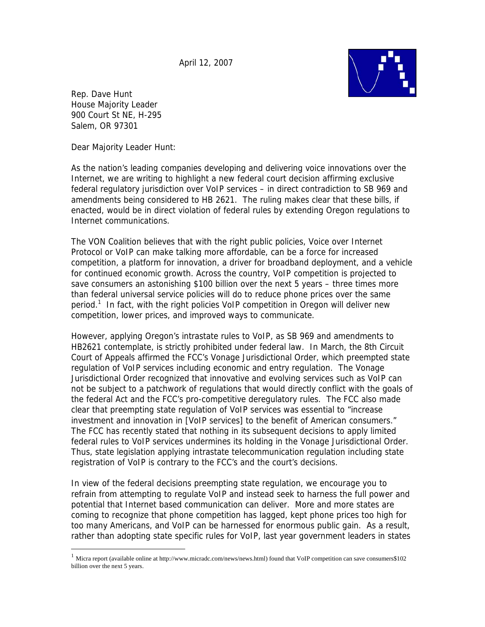April 12, 2007



Rep. Dave Hunt House Majority Leader 900 Court St NE, H-295 Salem, OR 97301

 $\overline{a}$ 

Dear Majority Leader Hunt:

As the nation's leading companies developing and delivering voice innovations over the Internet, we are writing to highlight a new federal court decision affirming exclusive federal regulatory jurisdiction over VoIP services – in direct contradiction to SB 969 and amendments being considered to HB 2621. The ruling makes clear that these bills, if enacted, would be in direct violation of federal rules by extending Oregon regulations to Internet communications.

The VON Coalition believes that with the right public policies, Voice over Internet Protocol or VoIP can make talking more affordable, can be a force for increased competition, a platform for innovation, a driver for broadband deployment, and a vehicle for continued economic growth. Across the country, VoIP competition is projected to save consumers an astonishing \$100 billion over the next 5 years – three times more than federal universal service policies will do to reduce phone prices over the same period.<sup>1</sup> In fact, with the right policies VoIP competition in Oregon will deliver new competition, lower prices, and improved ways to communicate.

However, applying Oregon's intrastate rules to VoIP, as SB 969 and amendments to HB2621 contemplate, is strictly prohibited under federal law. In March, the 8th Circuit Court of Appeals affirmed the FCC's Vonage Jurisdictional Order, which preempted state regulation of VoIP services including economic and entry regulation. The Vonage Jurisdictional Order recognized that innovative and evolving services such as VoIP can not be subject to a patchwork of regulations that would directly conflict with the goals of the federal Act and the FCC's pro-competitive deregulatory rules. The FCC also made clear that preempting state regulation of VoIP services was essential to "increase investment and innovation in [VoIP services] to the benefit of American consumers." The FCC has recently stated that nothing in its subsequent decisions to apply limited federal rules to VoIP services undermines its holding in the Vonage Jurisdictional Order. Thus, state legislation applying intrastate telecommunication regulation including state registration of VoIP is contrary to the FCC's and the court's decisions.

In view of the federal decisions preempting state regulation, we encourage you to refrain from attempting to regulate VoIP and instead seek to harness the full power and potential that Internet based communication can deliver. More and more states are coming to recognize that phone competition has lagged, kept phone prices too high for too many Americans, and VoIP can be harnessed for enormous public gain. As a result, rather than adopting state specific rules for VoIP, last year government leaders in states

 $1$  Micra report (available online at http://www.micradc.com/news/news.html) found that VoIP competition can save consumers\$102 billion over the next 5 years.